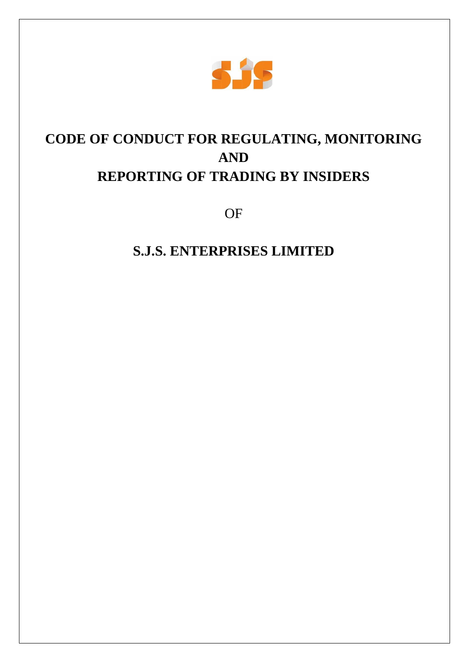

# **CODE OF CONDUCT FOR REGULATING, MONITORING AND REPORTING OF TRADING BY INSIDERS**

OF

## **S.J.S. ENTERPRISES LIMITED**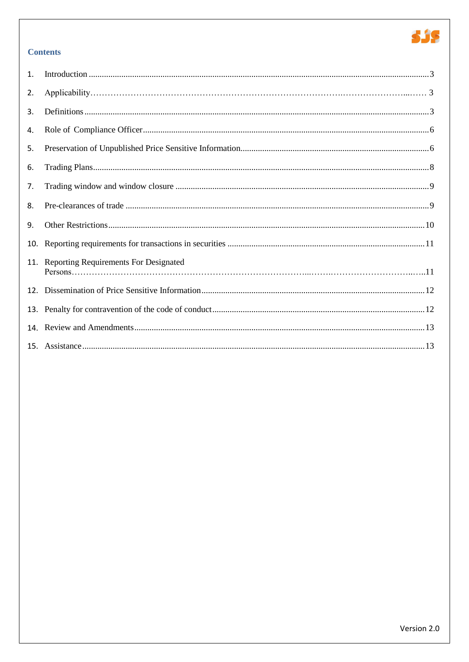

## **Contents**

| $\mathbf{1}$ . |                                       |  |
|----------------|---------------------------------------|--|
| 2.             |                                       |  |
| 3.             |                                       |  |
| 4.             |                                       |  |
| 5.             |                                       |  |
| 6.             |                                       |  |
| 7.             |                                       |  |
| 8.             |                                       |  |
| 9.             |                                       |  |
| 10.            |                                       |  |
| 11.            | Reporting Requirements For Designated |  |
| 12.            |                                       |  |
| 13.            |                                       |  |
|                |                                       |  |
|                |                                       |  |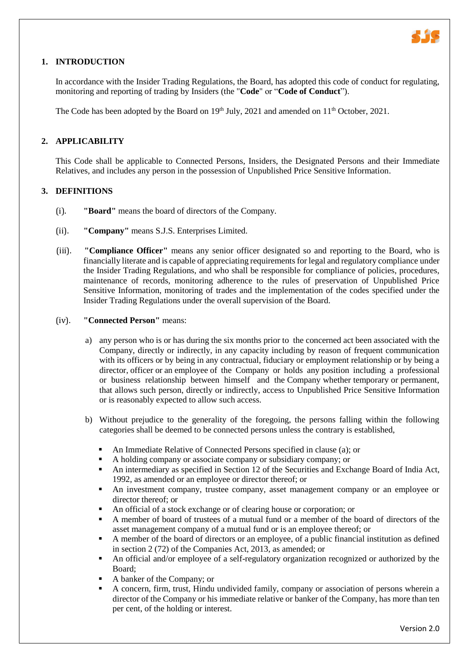

## **1. INTRODUCTION**

In accordance with the Insider Trading Regulations, the Board, has adopted this code of conduct for regulating, monitoring and reporting of trading by Insiders (the "**Code**" or "**Code of Conduct**").

The Code has been adopted by the Board on  $19<sup>th</sup>$  July, 2021 and amended on  $11<sup>th</sup>$  October, 2021.

## **2. APPLICABILITY**

This Code shall be applicable to Connected Persons, Insiders, the Designated Persons and their Immediate Relatives, and includes any person in the possession of Unpublished Price Sensitive Information.

#### **3. DEFINITIONS**

- (i). **"Board"** means the board of directors of the Company.
- (ii). **"Company"** means S.J.S. Enterprises Limited.
- (iii). **"Compliance Officer"** means any senior officer designated so and reporting to the Board, who is financially literate and is capable of appreciating requirements for legal and regulatory compliance under the Insider Trading Regulations, and who shall be responsible for compliance of policies, procedures, maintenance of records, monitoring adherence to the rules of preservation of Unpublished Price Sensitive Information, monitoring of trades and the implementation of the codes specified under the Insider Trading Regulations under the overall supervision of the Board.

#### (iv). **"Connected Person"** means:

- a) any person who is or has during the six months prior to the concerned act been associated with the Company, directly or indirectly, in any capacity including by reason of frequent communication with its officers or by being in any contractual, fiduciary or employment relationship or by being a director, officer or an employee of the Company or holds any position including a professional or business relationship between himself and the Company whether temporary or permanent, that allows such person, directly or indirectly, access to Unpublished Price Sensitive Information or is reasonably expected to allow such access.
- b) Without prejudice to the generality of the foregoing, the persons falling within the following categories shall be deemed to be connected persons unless the contrary is established,
	- An Immediate Relative of Connected Persons specified in clause (a); or
	- A holding company or associate company or subsidiary company; or
	- An intermediary as specified in Section 12 of the Securities and Exchange Board of India Act, 1992, as amended or an employee or director thereof; or
	- An investment company, trustee company, asset management company or an employee or director thereof; or
	- An official of a stock exchange or of clearing house or corporation; or
	- A member of board of trustees of a mutual fund or a member of the board of directors of the asset management company of a mutual fund or is an employee thereof; or
	- A member of the board of directors or an employee, of a public financial institution as defined in section 2 (72) of the Companies Act, 2013, as amended; or
	- An official and/or employee of a self-regulatory organization recognized or authorized by the Board;
	- A banker of the Company; or
	- A concern, firm, trust, Hindu undivided family, company or association of persons wherein a director of the Company or his immediate relative or banker of the Company, has more than ten per cent, of the holding or interest.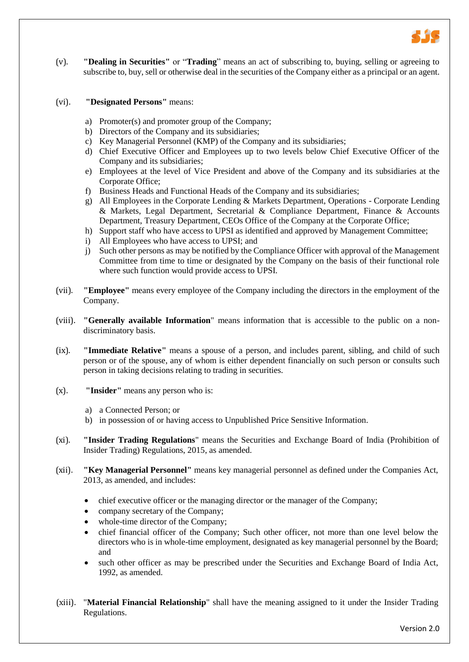

(v). **"Dealing in Securities"** or "**Trading**" means an act of subscribing to, buying, selling or agreeing to subscribe to, buy, sell or otherwise deal in the securities of the Company either as a principal or an agent.

#### (vi). **"Designated Persons"** means:

- a) Promoter(s) and promoter group of the Company;
- b) Directors of the Company and its subsidiaries;
- c) Key Managerial Personnel (KMP) of the Company and its subsidiaries;
- d) Chief Executive Officer and Employees up to two levels below Chief Executive Officer of the Company and its subsidiaries;
- e) Employees at the level of Vice President and above of the Company and its subsidiaries at the Corporate Office;
- f) Business Heads and Functional Heads of the Company and its subsidiaries;
- g) All Employees in the Corporate Lending & Markets Department, Operations Corporate Lending & Markets, Legal Department, Secretarial & Compliance Department, Finance & Accounts Department, Treasury Department, CEOs Office of the Company at the Corporate Office;
- h) Support staff who have access to UPSI as identified and approved by Management Committee;
- i) All Employees who have access to UPSI; and
- j) Such other persons as may be notified by the Compliance Officer with approval of the Management Committee from time to time or designated by the Company on the basis of their functional role where such function would provide access to UPSI.
- (vii). **"Employee"** means every employee of the Company including the directors in the employment of the Company.
- (viii). **"Generally available Information**" means information that is accessible to the public on a nondiscriminatory basis.
- (ix). **"Immediate Relative"** means a spouse of a person, and includes parent, sibling, and child of such person or of the spouse, any of whom is either dependent financially on such person or consults such person in taking decisions relating to trading in securities.
- (x). **"Insider"** means any person who is:
	- a) a Connected Person; or
	- b) in possession of or having access to Unpublished Price Sensitive Information.
- (xi). **"Insider Trading Regulations**" means the Securities and Exchange Board of India (Prohibition of Insider Trading) Regulations, 2015, as amended.
- (xii). **"Key Managerial Personnel"** means key managerial personnel as defined under the Companies Act, 2013, as amended, and includes:
	- chief executive officer or the managing director or the manager of the Company;
	- company secretary of the Company;
	- whole-time director of the Company;
	- chief financial officer of the Company; Such other officer, not more than one level below the directors who is in whole-time employment, designated as key managerial personnel by the Board; and
	- such other officer as may be prescribed under the Securities and Exchange Board of India Act, 1992, as amended.
- (xiii). "**Material Financial Relationship**" shall have the meaning assigned to it under the Insider Trading Regulations.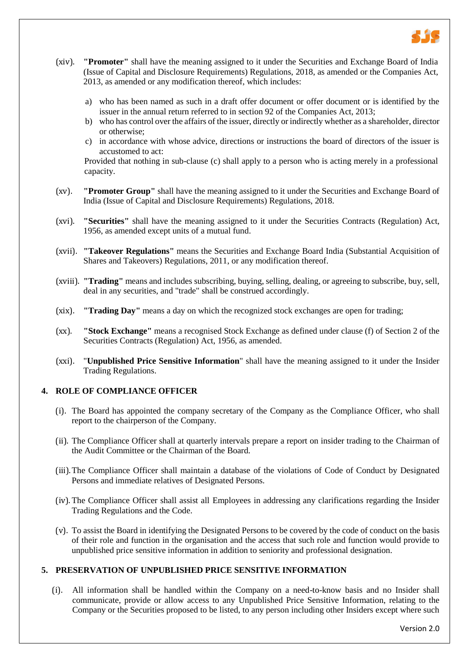

- (xiv). **"Promoter"** shall have the meaning assigned to it under the Securities and Exchange Board of India (Issue of Capital and Disclosure Requirements) Regulations, 2018, as amended or the Companies Act, 2013, as amended or any modification thereof, which includes:
	- a) who has been named as such in a draft offer document or offer document or is identified by the issuer in the annual return referred to in section 92 of the Companies Act, 2013;
	- b) who has control over the affairs of the issuer, directly or indirectly whether as a shareholder, director or otherwise;
	- c) in accordance with whose advice, directions or instructions the board of directors of the issuer is accustomed to act:

Provided that nothing in sub-clause (c) shall apply to a person who is acting merely in a professional capacity.

- (xv). **"Promoter Group"** shall have the meaning assigned to it under the Securities and Exchange Board of India (Issue of Capital and Disclosure Requirements) Regulations, 2018.
- (xvi). **"Securities"** shall have the meaning assigned to it under the Securities Contracts (Regulation) Act, 1956, as amended except units of a mutual fund.
- (xvii). **"Takeover Regulations"** means the Securities and Exchange Board India (Substantial Acquisition of Shares and Takeovers) Regulations, 2011, or any modification thereof.
- (xviii). **"Trading"** means and includes subscribing, buying, selling, dealing, or agreeing to subscribe, buy, sell, deal in any securities, and "trade" shall be construed accordingly.
- (xix). **"Trading Day"** means a day on which the recognized stock exchanges are open for trading;
- (xx). **"Stock Exchange"** means a recognised Stock Exchange as defined under clause (f) of Section 2 of the Securities Contracts (Regulation) Act, 1956, as amended.
- (xxi). "**Unpublished Price Sensitive Information**" shall have the meaning assigned to it under the Insider Trading Regulations.

## **4. ROLE OF COMPLIANCE OFFICER**

- (i). The Board has appointed the company secretary of the Company as the Compliance Officer, who shall report to the chairperson of the Company.
- (ii). The Compliance Officer shall at quarterly intervals prepare a report on insider trading to the Chairman of the Audit Committee or the Chairman of the Board.
- (iii).The Compliance Officer shall maintain a database of the violations of Code of Conduct by Designated Persons and immediate relatives of Designated Persons.
- (iv).The Compliance Officer shall assist all Employees in addressing any clarifications regarding the Insider Trading Regulations and the Code.
- (v). To assist the Board in identifying the Designated Persons to be covered by the code of conduct on the basis of their role and function in the organisation and the access that such role and function would provide to unpublished price sensitive information in addition to seniority and professional designation.

## **5. PRESERVATION OF UNPUBLISHED PRICE SENSITIVE INFORMATION**

(i). All information shall be handled within the Company on a need-to-know basis and no Insider shall communicate, provide or allow access to any Unpublished Price Sensitive Information, relating to the Company or the Securities proposed to be listed, to any person including other Insiders except where such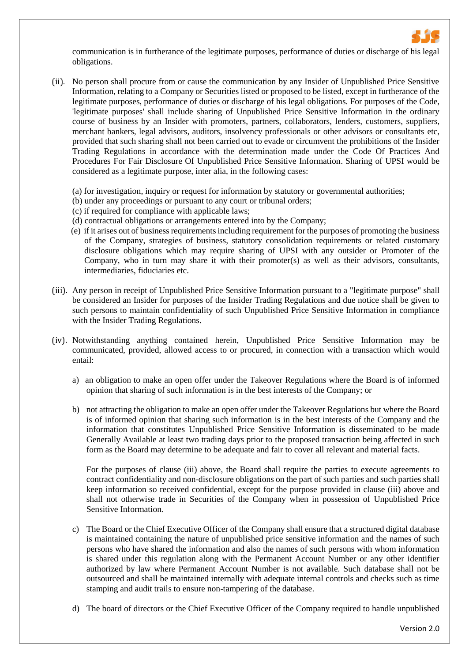

communication is in furtherance of the legitimate purposes, performance of duties or discharge of his legal obligations.

- (ii). No person shall procure from or cause the communication by any Insider of Unpublished Price Sensitive Information, relating to a Company or Securities listed or proposed to be listed, except in furtherance of the legitimate purposes, performance of duties or discharge of his legal obligations. For purposes of the Code, 'legitimate purposes' shall include sharing of Unpublished Price Sensitive Information in the ordinary course of business by an Insider with promoters, partners, collaborators, lenders, customers, suppliers, merchant bankers, legal advisors, auditors, insolvency professionals or other advisors or consultants etc, provided that such sharing shall not been carried out to evade or circumvent the prohibitions of the Insider Trading Regulations in accordance with the determination made under the Code Of Practices And Procedures For Fair Disclosure Of Unpublished Price Sensitive Information. Sharing of UPSI would be considered as a legitimate purpose, inter alia, in the following cases:
	- (a) for investigation, inquiry or request for information by statutory or governmental authorities;
	- (b) under any proceedings or pursuant to any court or tribunal orders;
	- (c) if required for compliance with applicable laws;
	- (d) contractual obligations or arrangements entered into by the Company;
	- (e) if it arises out of business requirements including requirement for the purposes of promoting the business of the Company, strategies of business, statutory consolidation requirements or related customary disclosure obligations which may require sharing of UPSI with any outsider or Promoter of the Company, who in turn may share it with their promoter(s) as well as their advisors, consultants, intermediaries, fiduciaries etc.
- (iii). Any person in receipt of Unpublished Price Sensitive Information pursuant to a "legitimate purpose" shall be considered an Insider for purposes of the Insider Trading Regulations and due notice shall be given to such persons to maintain confidentiality of such Unpublished Price Sensitive Information in compliance with the Insider Trading Regulations.
- (iv). Notwithstanding anything contained herein, Unpublished Price Sensitive Information may be communicated, provided, allowed access to or procured, in connection with a transaction which would entail:
	- a) an obligation to make an open offer under the Takeover Regulations where the Board is of informed opinion that sharing of such information is in the best interests of the Company; or
	- b) not attracting the obligation to make an open offer under the Takeover Regulations but where the Board is of informed opinion that sharing such information is in the best interests of the Company and the information that constitutes Unpublished Price Sensitive Information is disseminated to be made Generally Available at least two trading days prior to the proposed transaction being affected in such form as the Board may determine to be adequate and fair to cover all relevant and material facts.

For the purposes of clause (iii) above, the Board shall require the parties to execute agreements to contract confidentiality and non-disclosure obligations on the part of such parties and such parties shall keep information so received confidential, except for the purpose provided in clause (iii) above and shall not otherwise trade in Securities of the Company when in possession of Unpublished Price Sensitive Information.

- c) The Board or the Chief Executive Officer of the Company shall ensure that a structured digital database is maintained containing the nature of unpublished price sensitive information and the names of such persons who have shared the information and also the names of such persons with whom information is shared under this regulation along with the Permanent Account Number or any other identifier authorized by law where Permanent Account Number is not available. Such database shall not be outsourced and shall be maintained internally with adequate internal controls and checks such as time stamping and audit trails to ensure non-tampering of the database.
- d) The board of directors or the Chief Executive Officer of the Company required to handle unpublished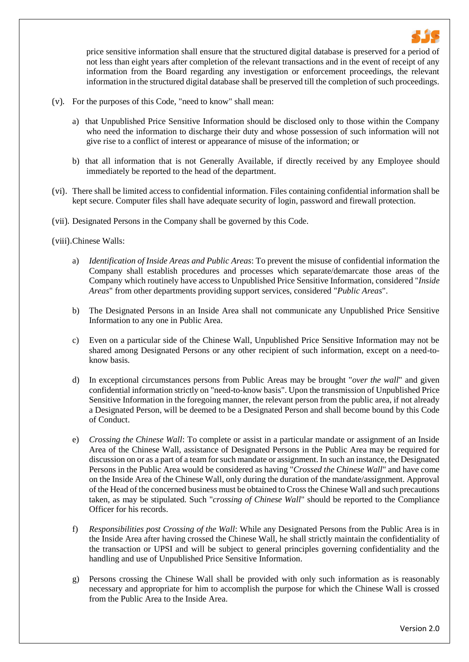

price sensitive information shall ensure that the structured digital database is preserved for a period of not less than eight years after completion of the relevant transactions and in the event of receipt of any information from the Board regarding any investigation or enforcement proceedings, the relevant information in the structured digital database shall be preserved till the completion of such proceedings.

- (v). For the purposes of this Code, "need to know" shall mean:
	- a) that Unpublished Price Sensitive Information should be disclosed only to those within the Company who need the information to discharge their duty and whose possession of such information will not give rise to a conflict of interest or appearance of misuse of the information; or
	- b) that all information that is not Generally Available, if directly received by any Employee should immediately be reported to the head of the department.
- (vi). There shall be limited access to confidential information. Files containing confidential information shall be kept secure. Computer files shall have adequate security of login, password and firewall protection.
- (vii). Designated Persons in the Company shall be governed by this Code.

## (viii).Chinese Walls:

- a) *Identification of Inside Areas and Public Areas*: To prevent the misuse of confidential information the Company shall establish procedures and processes which separate/demarcate those areas of the Company which routinely have access to Unpublished Price Sensitive Information, considered "*Inside Areas*" from other departments providing support services, considered "*Public Areas*".
- b) The Designated Persons in an Inside Area shall not communicate any Unpublished Price Sensitive Information to any one in Public Area.
- c) Even on a particular side of the Chinese Wall, Unpublished Price Sensitive Information may not be shared among Designated Persons or any other recipient of such information, except on a need-toknow basis.
- d) In exceptional circumstances persons from Public Areas may be brought "*over the wall*" and given confidential information strictly on "need-to-know basis". Upon the transmission of Unpublished Price Sensitive Information in the foregoing manner, the relevant person from the public area, if not already a Designated Person, will be deemed to be a Designated Person and shall become bound by this Code of Conduct.
- e) *Crossing the Chinese Wall*: To complete or assist in a particular mandate or assignment of an Inside Area of the Chinese Wall, assistance of Designated Persons in the Public Area may be required for discussion on or as a part of a team for such mandate or assignment. In such an instance, the Designated Persons in the Public Area would be considered as having "*Crossed the Chinese Wall*" and have come on the Inside Area of the Chinese Wall, only during the duration of the mandate/assignment. Approval of the Head of the concerned business must be obtained to Cross the Chinese Wall and such precautions taken, as may be stipulated. Such "*crossing of Chinese Wall*" should be reported to the Compliance Officer for his records.
- f) *Responsibilities post Crossing of the Wall*: While any Designated Persons from the Public Area is in the Inside Area after having crossed the Chinese Wall, he shall strictly maintain the confidentiality of the transaction or UPSI and will be subject to general principles governing confidentiality and the handling and use of Unpublished Price Sensitive Information.
- g) Persons crossing the Chinese Wall shall be provided with only such information as is reasonably necessary and appropriate for him to accomplish the purpose for which the Chinese Wall is crossed from the Public Area to the Inside Area.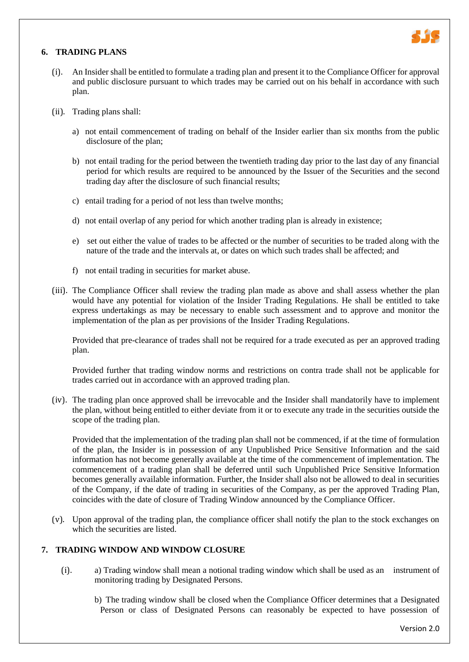

## <span id="page-7-1"></span><span id="page-7-0"></span>**6. TRADING PLANS**

- (i). An Insider shall be entitled to formulate a trading plan and present it to the Compliance Officer for approval and public disclosure pursuant to which trades may be carried out on his behalf in accordance with such plan.
- (ii). Trading plans shall:
	- a) not entail commencement of trading on behalf of the Insider earlier than six months from the public disclosure of the plan;
	- b) not entail trading for the period between the twentieth trading day prior to the last day of any financial period for which results are required to be announced by the Issuer of the Securities and the second trading day after the disclosure of such financial results;
	- c) entail trading for a period of not less than twelve months;
	- d) not entail overlap of any period for which another trading plan is already in existence;
	- e) set out either the value of trades to be affected or the number of securities to be traded along with the nature of the trade and the intervals at, or dates on which such trades shall be affected; and
	- f) not entail trading in securities for market abuse.
- (iii). The Compliance Officer shall review the trading plan made as above and shall assess whether the plan would have any potential for violation of the Insider Trading Regulations. He shall be entitled to take express undertakings as may be necessary to enable such assessment and to approve and monitor the implementation of the plan as per provisions of the Insider Trading Regulations.

Provided that pre-clearance of trades shall not be required for a trade executed as per an approved trading plan.

Provided further that trading window norms and restrictions on contra trade shall not be applicable for trades carried out in accordance with an approved trading plan.

(iv). The trading plan once approved shall be irrevocable and the Insider shall mandatorily have to implement the plan, without being entitled to either deviate from it or to execute any trade in the securities outside the scope of the trading plan.

Provided that the implementation of the trading plan shall not be commenced, if at the time of formulation of the plan, the Insider is in possession of any Unpublished Price Sensitive Information and the said information has not become generally available at the time of the commencement of implementation. The commencement of a trading plan shall be deferred until such Unpublished Price Sensitive Information becomes generally available information. Further, the Insider shall also not be allowed to deal in securities of the Company, if the date of trading in securities of the Company, as per the approved Trading Plan, coincides with the date of closure of Trading Window announced by the Compliance Officer.

(v). Upon approval of the trading plan, the compliance officer shall notify the plan to the stock exchanges on which the securities are listed.

## **7. TRADING WINDOW AND WINDOW CLOSURE**

- (i). a) Trading window shall mean a notional trading window which shall be used as an instrument of monitoring trading by Designated Persons.
	- b) The trading window shall be closed when the Compliance Officer determines that a Designated Person or class of Designated Persons can reasonably be expected to have possession of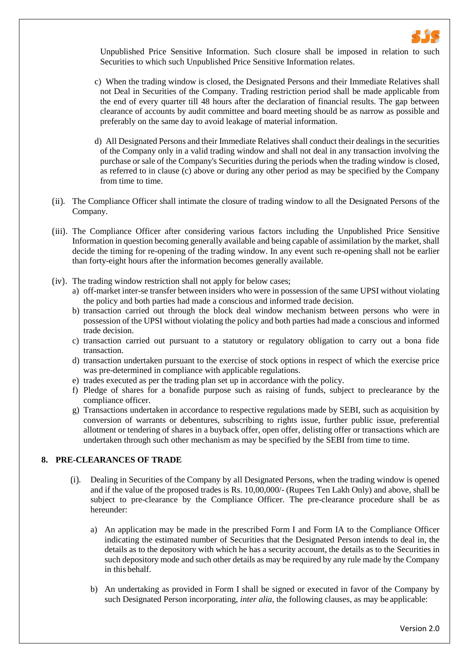

Unpublished Price Sensitive Information. Such closure shall be imposed in relation to such Securities to which such Unpublished Price Sensitive Information relates.

- c) When the trading window is closed, the Designated Persons and their Immediate Relatives shall not Deal in Securities of the Company. Trading restriction period shall be made applicable from the end of every quarter till 48 hours after the declaration of financial results. The gap between clearance of accounts by audit committee and board meeting should be as narrow as possible and preferably on the same day to avoid leakage of material information.
- d) All Designated Persons and their Immediate Relatives shall conduct their dealings in the securities of the Company only in a valid trading window and shall not deal in any transaction involving the purchase or sale of the Company's Securities during the periods when the trading window is closed, as referred to in clause (c) above or during any other period as may be specified by the Company from time to time.
- (ii). The Compliance Officer shall intimate the closure of trading window to all the Designated Persons of the Company.
- (iii). The Compliance Officer after considering various factors including the Unpublished Price Sensitive Information in question becoming generally available and being capable of assimilation by the market, shall decide the timing for re-opening of the trading window. In any event such re-opening shall not be earlier than forty-eight hours after the information becomes generally available.
- (iv). The trading window restriction shall not apply for below cases;
	- a) off-market inter-se transfer between insiders who were in possession of the same UPSI without violating the policy and both parties had made a conscious and informed trade decision.
	- b) transaction carried out through the block deal window mechanism between persons who were in possession of the UPSI without violating the policy and both parties had made a conscious and informed trade decision.
	- c) transaction carried out pursuant to a statutory or regulatory obligation to carry out a bona fide transaction.
	- d) transaction undertaken pursuant to the exercise of stock options in respect of which the exercise price was pre-determined in compliance with applicable regulations.
	- e) trades executed as per the trading plan set up in accordance with the policy.
	- f) Pledge of shares for a bonafide purpose such as raising of funds, subject to preclearance by the compliance officer.
	- g) Transactions undertaken in accordance to respective regulations made by SEBI, such as acquisition by conversion of warrants or debentures, subscribing to rights issue, further public issue, preferential allotment or tendering of shares in a buyback offer, open offer, delisting offer or transactions which are undertaken through such other mechanism as may be specified by the SEBI from time to time.

## **8. PRE-CLEARANCES OF TRADE**

- (i). Dealing in Securities of the Company by all Designated Persons, when the trading window is opened and if the value of the proposed trades is Rs. 10,00,000/- (Rupees Ten Lakh Only) and above, shall be subject to pre-clearance by the Compliance Officer. The pre-clearance procedure shall be as hereunder:
	- a) An application may be made in the prescribed Form I and Form IA to the Compliance Officer indicating the estimated number of Securities that the Designated Person intends to deal in, the details as to the depository with which he has a security account, the details as to the Securities in such depository mode and such other details as may be required by any rule made by the Company in this behalf.
	- b) An undertaking as provided in Form I shall be signed or executed in favor of the Company by such Designated Person incorporating, *inter alia,* the following clauses, as may be applicable: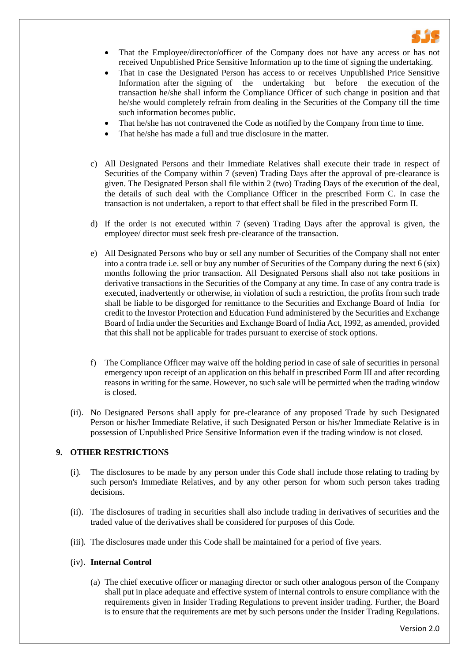

- That the Employee/director/officer of the Company does not have any access or has not received Unpublished Price Sensitive Information up to the time of signing the undertaking.
- That in case the Designated Person has access to or receives Unpublished Price Sensitive Information after the signing of the undertaking but before the execution of the transaction he/she shall inform the Compliance Officer of such change in position and that he/she would completely refrain from dealing in the Securities of the Company till the time such information becomes public.
- That he/she has not contravened the Code as notified by the Company from time to time.
- That he/she has made a full and true disclosure in the matter.
- c) All Designated Persons and their Immediate Relatives shall execute their trade in respect of Securities of the Company within 7 (seven) Trading Days after the approval of pre-clearance is given. The Designated Person shall file within 2 (two) Trading Days of the execution of the deal, the details of such deal with the Compliance Officer in the prescribed Form C. In case the transaction is not undertaken, a report to that effect shall be filed in the prescribed Form II.
- d) If the order is not executed within 7 (seven) Trading Days after the approval is given, the employee/ director must seek fresh pre-clearance of the transaction.
- e) All Designated Persons who buy or sell any number of Securities of the Company shall not enter into a contra trade i.e. sell or buy any number of Securities of the Company during the next 6 (six) months following the prior transaction. All Designated Persons shall also not take positions in derivative transactions in the Securities of the Company at any time. In case of any contra trade is executed, inadvertently or otherwise, in violation of such a restriction, the profits from such trade shall be liable to be disgorged for remittance to the Securities and Exchange Board of India for credit to the Investor Protection and Education Fund administered by the Securities and Exchange Board of India under the Securities and Exchange Board of India Act, 1992, as amended, provided that this shall not be applicable for trades pursuant to exercise of stock options.
- f) The Compliance Officer may waive off the holding period in case of sale of securities in personal emergency upon receipt of an application on this behalf in prescribed Form III and after recording reasons in writing for the same. However, no such sale will be permitted when the trading window is closed.
- (ii). No Designated Persons shall apply for pre-clearance of any proposed Trade by such Designated Person or his/her Immediate Relative, if such Designated Person or his/her Immediate Relative is in possession of Unpublished Price Sensitive Information even if the trading window is not closed.

## **9. OTHER RESTRICTIONS**

- (i). The disclosures to be made by any person under this Code shall include those relating to trading by such person's Immediate Relatives, and by any other person for whom such person takes trading decisions.
- (ii). The disclosures of trading in securities shall also include trading in derivatives of securities and the traded value of the derivatives shall be considered for purposes of this Code.
- (iii). The disclosures made under this Code shall be maintained for a period of five years.

#### (iv). **Internal Control**

(a) The chief executive officer or managing director or such other analogous person of the Company shall put in place adequate and effective system of internal controls to ensure compliance with the requirements given in Insider Trading Regulations to prevent insider trading. Further, the Board is to ensure that the requirements are met by such persons under the Insider Trading Regulations.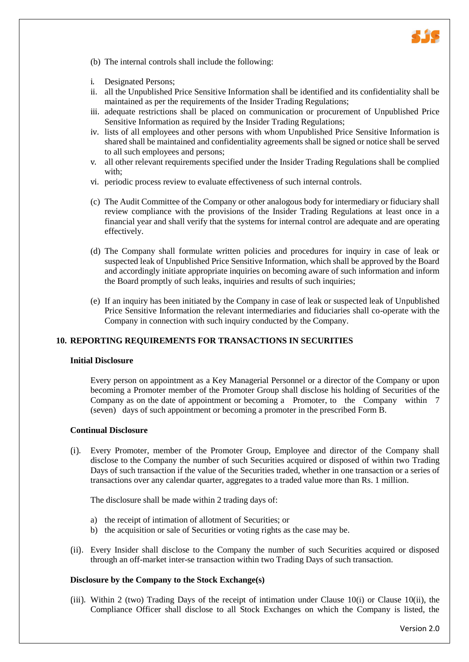

- (b) The internal controls shall include the following:
- i. Designated Persons;
- ii. all the Unpublished Price Sensitive Information shall be identified and its confidentiality shall be maintained as per the requirements of the Insider Trading Regulations;
- iii. adequate restrictions shall be placed on communication or procurement of Unpublished Price Sensitive Information as required by the Insider Trading Regulations;
- iv. lists of all employees and other persons with whom Unpublished Price Sensitive Information is shared shall be maintained and confidentiality agreements shall be signed or notice shall be served to all such employees and persons;
- v. all other relevant requirements specified under the Insider Trading Regulations shall be complied with;
- vi. periodic process review to evaluate effectiveness of such internal controls.
- (c) The Audit Committee of the Company or other analogous body for intermediary or fiduciary shall review compliance with the provisions of the Insider Trading Regulations at least once in a financial year and shall verify that the systems for internal control are adequate and are operating effectively.
- (d) The Company shall formulate written policies and procedures for inquiry in case of leak or suspected leak of Unpublished Price Sensitive Information, which shall be approved by the Board and accordingly initiate appropriate inquiries on becoming aware of such information and inform the Board promptly of such leaks, inquiries and results of such inquiries;
- <span id="page-10-0"></span>(e) If an inquiry has been initiated by the Company in case of leak or suspected leak of Unpublished Price Sensitive Information the relevant intermediaries and fiduciaries shall co-operate with the Company in connection with such inquiry conducted by the Company.

## **10. REPORTING REQUIREMENTS FOR TRANSACTIONS IN SECURITIES**

#### **Initial Disclosure**

Every person on appointment as a Key Managerial Personnel or a director of the Company or upon becoming a Promoter member of the Promoter Group shall disclose his holding of Securities of the Company as on the date of appointment or becoming a Promoter, to the Company within 7 (seven) days of such appointment or becoming a promoter in the prescribed Form B.

#### **Continual Disclosure**

(i). Every Promoter, member of the Promoter Group, Employee and director of the Company shall disclose to the Company the number of such Securities acquired or disposed of within two Trading Days of such transaction if the value of the Securities traded, whether in one transaction or a series of transactions over any calendar quarter, aggregates to a traded value more than Rs. 1 million.

The disclosure shall be made within 2 trading days of:

- a) the receipt of intimation of allotment of Securities; or
- b) the acquisition or sale of Securities or voting rights as the case may be.
- (ii). Every Insider shall disclose to the Company the number of such Securities acquired or disposed through an off-market inter-se transaction within two Trading Days of such transaction.

## **Disclosure by the Company to the Stock Exchange(s)**

(iii). Within 2 (two) Trading Days of the receipt of intimation under Clause 10(i) or Clause 10(ii), the Compliance Officer shall disclose to all Stock Exchanges on which the Company is listed, the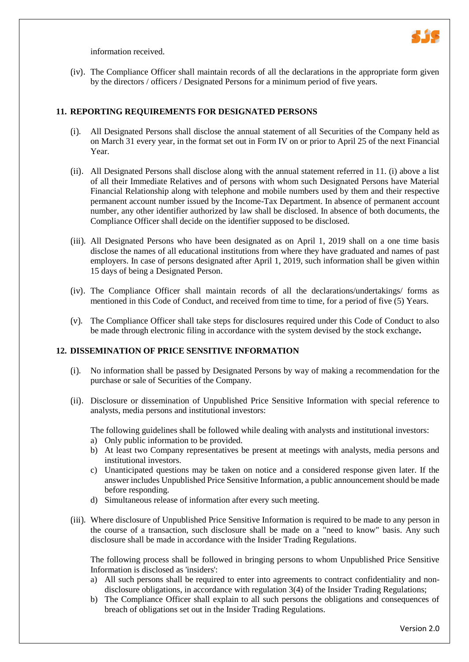

information received.

(iv). The Compliance Officer shall maintain records of all the declarations in the appropriate form given by the directors / officers / Designated Persons for a minimum period of five years.

## **11. REPORTING REQUIREMENTS FOR DESIGNATED PERSONS**

- (i). All Designated Persons shall disclose the annual statement of all Securities of the Company held as on March 31 every year, in the format set out in Form IV on or prior to April 25 of the next Financial Year.
- (ii). All Designated Persons shall disclose along with the annual statement referred in 11. (i) above a list of all their Immediate Relatives and of persons with whom such Designated Persons have Material Financial Relationship along with telephone and mobile numbers used by them and their respective permanent account number issued by the Income-Tax Department. In absence of permanent account number, any other identifier authorized by law shall be disclosed. In absence of both documents, the Compliance Officer shall decide on the identifier supposed to be disclosed.
- (iii). All Designated Persons who have been designated as on April 1, 2019 shall on a one time basis disclose the names of all educational institutions from where they have graduated and names of past employers. In case of persons designated after April 1, 2019, such information shall be given within 15 days of being a Designated Person.
- (iv). The Compliance Officer shall maintain records of all the declarations/undertakings/ forms as mentioned in this Code of Conduct, and received from time to time, for a period of five (5) Years.
- (v). The Compliance Officer shall take steps for disclosures required under this Code of Conduct to also be made through electronic filing in accordance with the system devised by the stock exchange**.**

#### **12. DISSEMINATION OF PRICE SENSITIVE INFORMATION**

- (i). No information shall be passed by Designated Persons by way of making a recommendation for the purchase or sale of Securities of the Company.
- (ii). Disclosure or dissemination of Unpublished Price Sensitive Information with special reference to analysts, media persons and institutional investors:

The following guidelines shall be followed while dealing with analysts and institutional investors: a) Only public information to be provided.

- b) At least two Company representatives be present at meetings with analysts, media persons and institutional investors.
- c) Unanticipated questions may be taken on notice and a considered response given later. If the answer includes Unpublished Price Sensitive Information, a public announcement should be made before responding.
- d) Simultaneous release of information after every such meeting.
- (iii). Where disclosure of Unpublished Price Sensitive Information is required to be made to any person in the course of a transaction, such disclosure shall be made on a "need to know" basis. Any such disclosure shall be made in accordance with the Insider Trading Regulations.

The following process shall be followed in bringing persons to whom Unpublished Price Sensitive Information is disclosed as 'insiders':

- a) All such persons shall be required to enter into agreements to contract confidentiality and nondisclosure obligations, in accordance with regulation 3(4) of the Insider Trading Regulations;
- b) The Compliance Officer shall explain to all such persons the obligations and consequences of breach of obligations set out in the Insider Trading Regulations.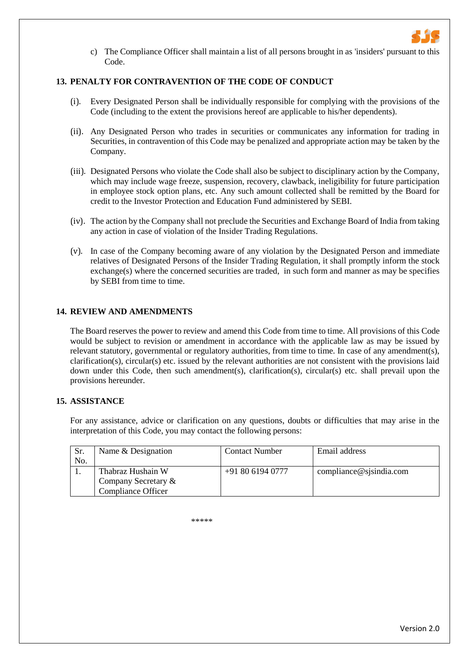

c) The Compliance Officer shall maintain a list of all persons brought in as 'insiders' pursuant to this Code.

## **13. PENALTY FOR CONTRAVENTION OF THE CODE OF CONDUCT**

- (i). Every Designated Person shall be individually responsible for complying with the provisions of the Code (including to the extent the provisions hereof are applicable to his/her dependents).
- (ii). Any Designated Person who trades in securities or communicates any information for trading in Securities, in contravention of this Code may be penalized and appropriate action may be taken by the Company.
- (iii). Designated Persons who violate the Code shall also be subject to disciplinary action by the Company, which may include wage freeze, suspension, recovery, clawback, ineligibility for future participation in employee stock option plans, etc. Any such amount collected shall be remitted by the Board for credit to the Investor Protection and Education Fund administered by SEBI.
- (iv). The action by the Company shall not preclude the Securities and Exchange Board of India from taking any action in case of violation of the Insider Trading Regulations.
- (v). In case of the Company becoming aware of any violation by the Designated Person and immediate relatives of Designated Persons of the Insider Trading Regulation, it shall promptly inform the stock  $\alpha$  exchange(s) where the concerned securities are traded, in such form and manner as may be specifies by SEBI from time to time.

#### **14. REVIEW AND AMENDMENTS**

The Board reserves the power to review and amend this Code from time to time. All provisions of this Code would be subject to revision or amendment in accordance with the applicable law as may be issued by relevant statutory, governmental or regulatory authorities, from time to time. In case of any amendment(s), clarification(s), circular(s) etc. issued by the relevant authorities are not consistent with the provisions laid down under this Code, then such amendment(s), clarification(s), circular(s) etc. shall prevail upon the provisions hereunder.

#### **15. ASSISTANCE**

For any assistance, advice or clarification on any questions, doubts or difficulties that may arise in the interpretation of this Code, you may contact the following persons:

| Sr. | Name & Designation        | <b>Contact Number</b> | Email address           |
|-----|---------------------------|-----------------------|-------------------------|
| No. |                           |                       |                         |
|     | Thabraz Hushain W         | $+918061940777$       | compliance@sjsindia.com |
|     | Company Secretary &       |                       |                         |
|     | <b>Compliance Officer</b> |                       |                         |

\*\*\*\*\*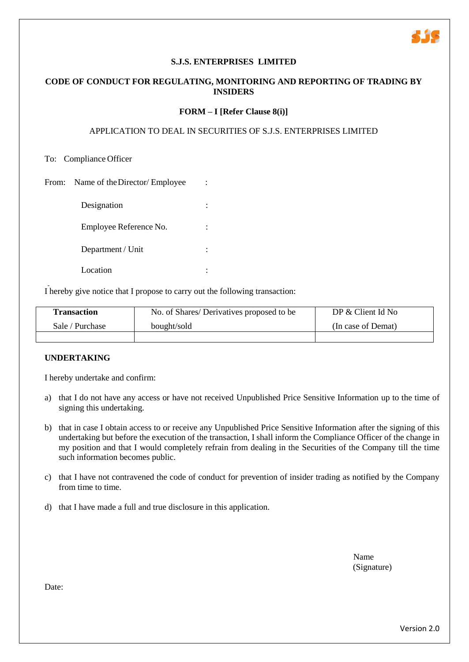

## **CODE OF CONDUCT FOR REGULATING, MONITORING AND REPORTING OF TRADING BY INSIDERS**

#### **FORM – I [Refer Clause 8(i)]**

## APPLICATION TO DEAL IN SECURITIES OF S.J.S. ENTERPRISES LIMITED

To: Compliance Officer

From: Name of the Director/ Employee :

| Designation            |  |
|------------------------|--|
| Employee Reference No. |  |
| Department / Unit      |  |
| Location               |  |

I hereby give notice that I propose to carry out the following transaction:

| <b>Transaction</b> | No. of Shares/Derivatives proposed to be | DP & Client Id No  |  |
|--------------------|------------------------------------------|--------------------|--|
| Sale / Purchase    | bought/sold                              | (In case of Demat) |  |
|                    |                                          |                    |  |

#### **UNDERTAKING**

I hereby undertake and confirm:

- a) that I do not have any access or have not received Unpublished Price Sensitive Information up to the time of signing this undertaking.
- b) that in case I obtain access to or receive any Unpublished Price Sensitive Information after the signing of this undertaking but before the execution of the transaction, I shall inform the Compliance Officer of the change in my position and that I would completely refrain from dealing in the Securities of the Company till the time such information becomes public.
- c) that I have not contravened the code of conduct for prevention of insider trading as notified by the Company from time to time.
- d) that I have made a full and true disclosure in this application.

Name (Signature)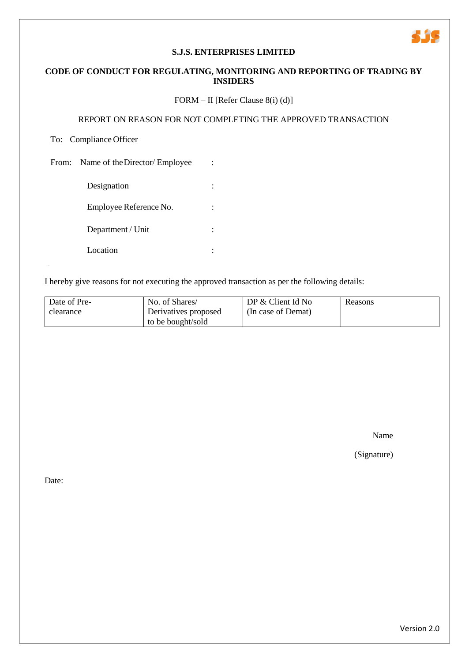## **CODE OF CONDUCT FOR REGULATING, MONITORING AND REPORTING OF TRADING BY INSIDERS**

## FORM – II [Refer Clause 8(i) (d)]

## REPORT ON REASON FOR NOT COMPLETING THE APPROVED TRANSACTION

## To: Compliance Officer

From: Name of the Director/ Employee :

| Designation            |  |
|------------------------|--|
| Employee Reference No. |  |
| Department / Unit      |  |
| Location               |  |

I hereby give reasons for not executing the approved transaction as per the following details:

| Date of Pre- | No. of Shares/       | DP $&$ Client Id No | Reasons |
|--------------|----------------------|---------------------|---------|
| clearance    | Derivatives proposed | (In case of Demat)  |         |
|              | to be bought/sold    |                     |         |

Name

415

(Signature)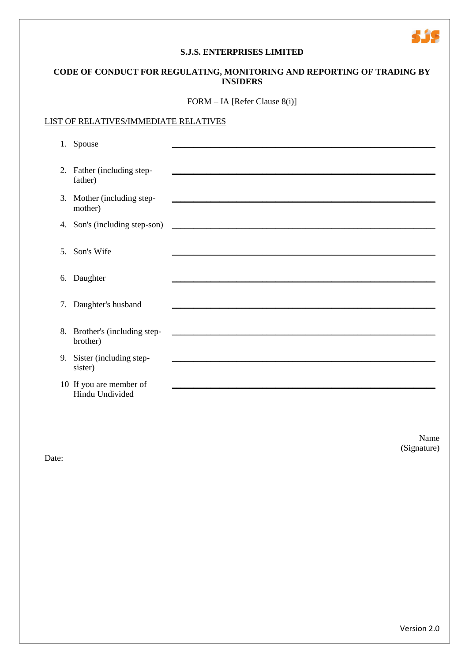## **CODE OF CONDUCT FOR REGULATING, MONITORING AND REPORTING OF TRADING BY INSIDERS**

FORM – IA [Refer Clause 8(i)]

#### LIST OF RELATIVES/IMMEDIATE RELATIVES

|    | 1. Spouse                                  |                                                                |
|----|--------------------------------------------|----------------------------------------------------------------|
|    | 2. Father (including step-<br>father)      |                                                                |
|    | 3. Mother (including step-<br>mother)      |                                                                |
|    | 4. Son's (including step-son)              | <u> 1980 - Jan Barbara, martin da kasar Amerika Indonesia.</u> |
| 5. | Son's Wife                                 |                                                                |
|    | 6. Daughter                                |                                                                |
|    | 7. Daughter's husband                      |                                                                |
|    | 8. Brother's (including step-<br>brother)  |                                                                |
|    | 9. Sister (including step-<br>sister)      |                                                                |
|    | 10 If you are member of<br>Hindu Undivided |                                                                |

Name (Signature)

5.35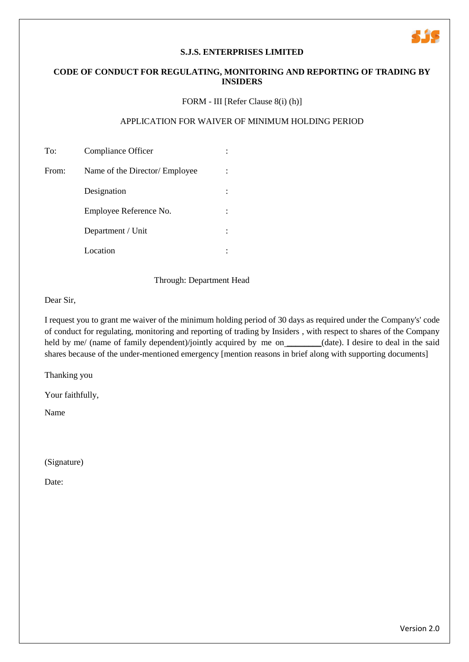## **CODE OF CONDUCT FOR REGULATING, MONITORING AND REPORTING OF TRADING BY INSIDERS**

## FORM - III [Refer Clause 8(i) (h)]

#### APPLICATION FOR WAIVER OF MINIMUM HOLDING PERIOD

| To:   | Compliance Officer             |  |
|-------|--------------------------------|--|
| From: | Name of the Director/ Employee |  |
|       | Designation                    |  |
|       | Employee Reference No.         |  |
|       | Department / Unit              |  |
|       | Location                       |  |

Through: Department Head

Dear Sir,

I request you to grant me waiver of the minimum holding period of 30 days as required under the Company's' code of conduct for regulating, monitoring and reporting of trading by Insiders , with respect to shares of the Company held by me/ (name of family dependent)/jointly acquired by me on\_\_\_\_\_\_\_(date). I desire to deal in the said shares because of the under-mentioned emergency [mention reasons in brief along with supporting documents]

Thanking you

Your faithfully,

Name

(Signature)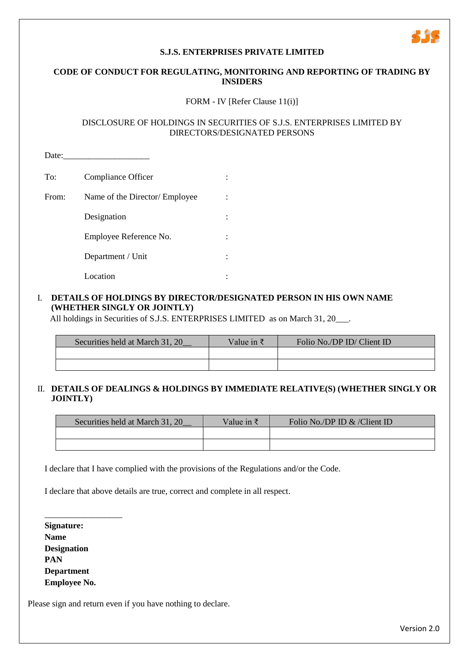## **S.J.S. ENTERPRISES PRIVATE LIMITED**

## **CODE OF CONDUCT FOR REGULATING, MONITORING AND REPORTING OF TRADING BY INSIDERS**

#### FORM - IV [Refer Clause 11(i)]

#### DISCLOSURE OF HOLDINGS IN SECURITIES OF S.J.S. ENTERPRISES LIMITED BY DIRECTORS/DESIGNATED PERSONS

Date: To: Compliance Officer : : From: Name of the Director/ Employee : Designation : Employee Reference No. : : : Department / Unit : Location :

## I. **DETAILS OF HOLDINGS BY DIRECTOR/DESIGNATED PERSON IN HIS OWN NAME (WHETHER SINGLY OR JOINTLY)**

All holdings in Securities of S.J.S. ENTERPRISES LIMITED as on March 31, 20\_\_\_.

| Securities held at March 31, 20 | Value in $\bar{z}$ | Folio No./DP ID/ Client ID |
|---------------------------------|--------------------|----------------------------|
|                                 |                    |                            |
|                                 |                    |                            |

## II. **DETAILS OF DEALINGS & HOLDINGS BY IMMEDIATE RELATIVE(S) (WHETHER SINGLY OR JOINTLY)**

| Securities held at March 31, 20 | Value in $\bar{z}$ | Folio No./DP ID & /Client ID |
|---------------------------------|--------------------|------------------------------|
|                                 |                    |                              |
|                                 |                    |                              |

I declare that I have complied with the provisions of the Regulations and/or the Code.

I declare that above details are true, correct and complete in all respect.

**Signature: Name Designation PAN Department Employee No.**

\_\_\_\_\_\_\_\_\_\_\_\_\_\_\_\_\_\_

Please sign and return even if you have nothing to declare.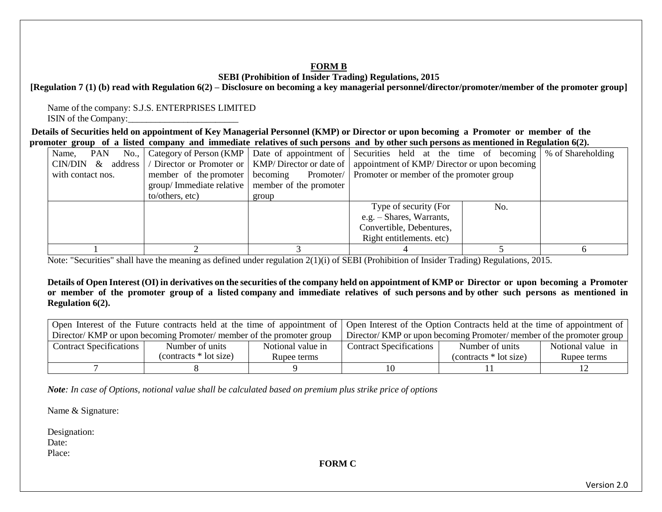## **FORM B**

## **SEBI (Prohibition of Insider Trading) Regulations, 2015**

## **[Regulation 7 (1) (b) read with Regulation 6(2) – Disclosure on becoming a key managerial personnel/director/promoter/member of the promoter group]**

Name of the company: S.J.S. ENTERPRISES LIMITED ISIN of the Company:

**Details of Securities held on appointment of Key Managerial Personnel (KMP) or Director or upon becoming a Promoter or member of the promoter group of a listed company and immediate relatives of such persons and by other such persons as mentioned in Regulation 6(2).**

| Name,                |                                                                                          |                        | PAN No., Category of Person (KMP Date of appointment of Securities held at the time of becoming \% of Shareholding |     |  |
|----------------------|------------------------------------------------------------------------------------------|------------------------|--------------------------------------------------------------------------------------------------------------------|-----|--|
| $CIN/DIN \&$ address | / Director or Promoter or                                                                |                        | $KMP/Director$ or date of   appointment of $KMP/Director$ or upon becoming                                         |     |  |
| with contact nos.    | Promoter/ Promoter or member of the promoter group<br>becoming<br>member of the promoter |                        |                                                                                                                    |     |  |
|                      | $\frac{1}{2}$ group/ Immediate relative                                                  | member of the promoter |                                                                                                                    |     |  |
|                      | to/others, etc)                                                                          | group                  |                                                                                                                    |     |  |
|                      |                                                                                          |                        | Type of security (For                                                                                              | No. |  |
|                      |                                                                                          |                        | e.g. – Shares, Warrants,                                                                                           |     |  |
|                      |                                                                                          |                        | Convertible, Debentures,                                                                                           |     |  |
|                      |                                                                                          |                        | Right entitlements. etc)                                                                                           |     |  |
|                      |                                                                                          |                        |                                                                                                                    |     |  |

Note: "Securities" shall have the meaning as defined under regulation 2(1)(i) of SEBI (Prohibition of Insider Trading) Regulations, 2015.

**Details of Open Interest (OI) in derivatives on the securities of the company held on appointment of KMP or Director or upon becoming a Promoter or member of the promoter group of a listed company and immediate relatives of such persons and by other such persons as mentioned in Regulation 6(2).**

|                                                                       | Open Interest of the Future contracts held at the time of appointment of Open Interest of the Option Contracts held at the time of appointment of |                   |                                                                     |                         |                   |
|-----------------------------------------------------------------------|---------------------------------------------------------------------------------------------------------------------------------------------------|-------------------|---------------------------------------------------------------------|-------------------------|-------------------|
| Director/ KMP or upon becoming Promoter/ member of the promoter group |                                                                                                                                                   |                   | Director/KMP or upon becoming Promoter/member of the promoter group |                         |                   |
| <b>Contract Specifications</b>                                        | Number of units                                                                                                                                   | Notional value in | <b>Contract Specifications</b>                                      | Number of units         | Notional value in |
|                                                                       | (contracts $*$ lot size)                                                                                                                          | Rupee terms       |                                                                     | $(contrast * lot size)$ | Rupee terms       |
|                                                                       |                                                                                                                                                   |                   |                                                                     |                         |                   |

*Note: In case of Options, notional value shall be calculated based on premium plus strike price of options*

Name & Signature:

Designation: Date: Place:

**FORM C**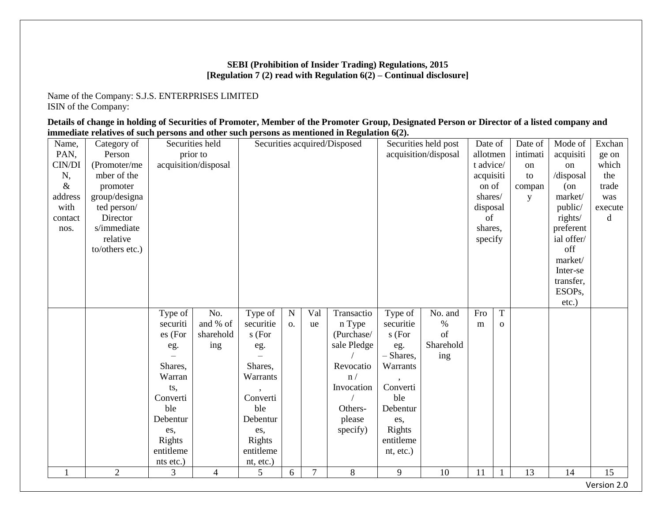## **SEBI (Prohibition of Insider Trading) Regulations, 2015 [Regulation 7 (2) read with Regulation 6(2) – Continual disclosure]**

Name of the Company: S.J.S. ENTERPRISES LIMITED ISIN of the Company:

**Details of change in holding of Securities of Promoter, Member of the Promoter Group, Designated Person or Director of a listed company and immediate relatives of such persons and other such persons as mentioned in Regulation 6(2).**

| Name,   | Category of     |                 | Securities held      |           |             |                | Securities acquired/Disposed | Securities held post |           | Date of         |              | Date of   | Mode of             | Exchan      |
|---------|-----------------|-----------------|----------------------|-----------|-------------|----------------|------------------------------|----------------------|-----------|-----------------|--------------|-----------|---------------------|-------------|
| PAN,    | Person          |                 | prior to             |           |             |                |                              | acquisition/disposal |           | allotmen        |              | intimati  | acquisiti           | ge on       |
| CIN/DI  | (Promoter/me    |                 | acquisition/disposal |           |             |                |                              |                      |           | t advice/<br>on |              |           | on                  | which       |
| N,      | mber of the     |                 |                      |           |             |                |                              | acquisiti            |           |                 | to           | /disposal | the                 |             |
| $\&$    | promoter        |                 |                      |           |             |                |                              |                      |           | on of           |              | compan    | $($ on              | trade       |
| address | group/designa   |                 |                      |           |             |                |                              |                      |           | shares/         |              | y         | market/             | was         |
| with    | ted person/     |                 |                      |           |             |                |                              |                      |           | disposal        |              |           | public/             | execute     |
| contact | Director        |                 |                      |           |             |                |                              |                      |           | of              |              |           | rights/             | d           |
| nos.    | s/immediate     |                 |                      |           |             |                |                              |                      |           | shares,         |              |           | preferent           |             |
|         | relative        |                 |                      |           |             |                |                              |                      |           | specify         |              |           | ial offer/          |             |
|         | to/others etc.) |                 |                      |           |             |                |                              |                      |           |                 |              |           | off                 |             |
|         |                 |                 |                      |           |             |                |                              |                      |           |                 |              |           | market/             |             |
|         |                 |                 |                      |           |             |                |                              |                      |           |                 |              |           | Inter-se            |             |
|         |                 |                 |                      |           |             |                |                              |                      |           |                 |              |           | transfer,           |             |
|         |                 |                 |                      |           |             |                |                              |                      |           |                 |              |           | ESOP <sub>s</sub> , |             |
|         |                 |                 |                      |           |             |                |                              |                      |           |                 |              |           | etc.)               |             |
|         |                 | Type of         | No.                  | Type of   | $\mathbf N$ | Val            | Transactio                   | Type of              | No. and   | Fro             | $\mathbf T$  |           |                     |             |
|         |                 | securiti        | and % of             | securitie | O.          | ue             | n Type                       | securitie            | $\%$      | m               | $\mathbf{o}$ |           |                     |             |
|         |                 | es (For         | sharehold            | s (For    |             |                | (Purchase/                   | s (For               | of        |                 |              |           |                     |             |
|         |                 | eg.             | ing                  | eg.       |             |                | sale Pledge                  | eg.                  | Sharehold |                 |              |           |                     |             |
|         |                 |                 |                      |           |             |                |                              | - Shares,            | ing       |                 |              |           |                     |             |
|         |                 | Shares,         |                      | Shares,   |             |                | Revocatio                    | Warrants             |           |                 |              |           |                     |             |
|         |                 | Warran          |                      | Warrants  |             |                | n/                           |                      |           |                 |              |           |                     |             |
|         |                 | ts,             |                      | Converti  |             |                | Invocation                   | Converti<br>ble      |           |                 |              |           |                     |             |
|         |                 | Converti<br>ble |                      | ble       |             |                | Others-                      |                      |           |                 |              |           |                     |             |
|         |                 | Debentur        |                      | Debentur  |             |                | please                       | Debentur             |           |                 |              |           |                     |             |
|         |                 | es,             |                      | es,       |             |                | specify)                     | es,<br>Rights        |           |                 |              |           |                     |             |
|         |                 | Rights          |                      | Rights    |             |                |                              | entitleme            |           |                 |              |           |                     |             |
|         |                 | entitleme       |                      | entitleme |             |                |                              | nt, etc.)            |           |                 |              |           |                     |             |
|         |                 | nts etc.)       |                      | nt, etc.) |             |                |                              |                      |           |                 |              |           |                     |             |
| 1       | $\overline{2}$  | 3               | $\overline{4}$       | 5         | 6           | $\overline{7}$ | 8                            | 9                    | 10        | 11              | 1            | 13        | 14                  | 15          |
|         |                 |                 |                      |           |             |                |                              |                      |           |                 |              |           |                     | Version 2.0 |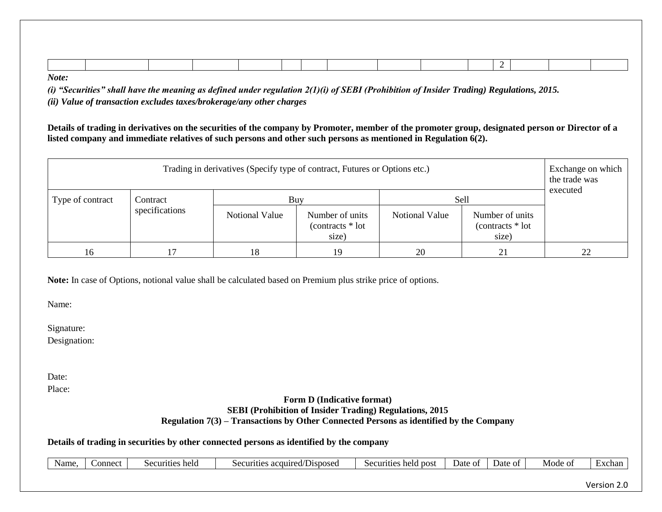*Note:* 

*(i) "Securities" shall have the meaning as defined under regulation 2(1)(i) of SEBI (Prohibition of Insider Trading) Regulations, 2015.*

*(ii) Value of transaction excludes taxes/brokerage/any other charges*

**Details of trading in derivatives on the securities of the company by Promoter, member of the promoter group, designated person or Director of a listed company and immediate relatives of such persons and other such persons as mentioned in Regulation 6(2).**

| Trading in derivatives (Specify type of contract, Futures or Options etc.) |                |                |                                               |                       |                                                |    |  |  |  |  |
|----------------------------------------------------------------------------|----------------|----------------|-----------------------------------------------|-----------------------|------------------------------------------------|----|--|--|--|--|
| Type of contract                                                           | Contract       | Buy            |                                               | Sell                  | executed                                       |    |  |  |  |  |
|                                                                            | specifications | Notional Value | Number of units<br>(contracts * lot)<br>size) | <b>Notional Value</b> | Number of units<br>$(contrast * lot)$<br>size) |    |  |  |  |  |
| 16                                                                         |                | 18             | 19                                            | 20                    | 21                                             | 22 |  |  |  |  |

**Note:** In case of Options, notional value shall be calculated based on Premium plus strike price of options.

Name:

Signature:

Designation:

Date:

Place:

#### **Form D (Indicative format) SEBI (Prohibition of Insider Trading) Regulations, 2015 Regulation 7(3) – Transactions by Other Connected Persons as identified by the Company**

## **Details of trading in securities by other connected persons as identified by the company**

| Name | connect | Securities<br>held | <b>CONTRACTOR</b><br>acquired<br>/Disposec<br>Securities<br>ᄓ<br>$\mathbf{u}$ | held<br>. post<br>ACULTITIAS.<br><b>CULLU</b><br>$\sim$ | Jate<br>ОĪ | Date<br>ОT | Mode oi | xcnai: |
|------|---------|--------------------|-------------------------------------------------------------------------------|---------------------------------------------------------|------------|------------|---------|--------|
|      |         |                    |                                                                               |                                                         |            |            |         |        |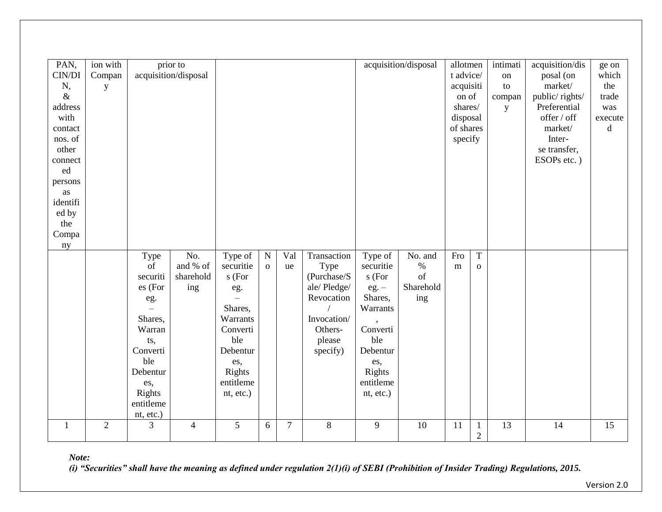| PAN,<br>CIN/DI<br>N,<br>$\&$<br>address<br>with<br>contact<br>nos. of<br>other<br>connect<br>ed<br>persons<br>as<br>identifi<br>ed by<br>the<br>Compa<br>ny | ion with<br>Compan<br>y |                                                                                                                                                | prior to<br>acquisition/disposal    |                                                                                                                                        |                           |                | acquisition/disposal                                                                                            | allotmen<br>t advice/<br>acquisiti<br>on of<br>shares/<br>disposal<br>of shares<br>specify                                                 |                                           | intimati<br>on<br>to<br>compan<br>y | acquisition/dis<br>posal (on<br>market/<br>public/rights/<br>Preferential<br>offer / off<br>market/<br>Inter-<br>se transfer,<br>ESOPs etc.) | ge on<br>which<br>the<br>trade<br>was<br>execute<br>d |    |                 |
|-------------------------------------------------------------------------------------------------------------------------------------------------------------|-------------------------|------------------------------------------------------------------------------------------------------------------------------------------------|-------------------------------------|----------------------------------------------------------------------------------------------------------------------------------------|---------------------------|----------------|-----------------------------------------------------------------------------------------------------------------|--------------------------------------------------------------------------------------------------------------------------------------------|-------------------------------------------|-------------------------------------|----------------------------------------------------------------------------------------------------------------------------------------------|-------------------------------------------------------|----|-----------------|
|                                                                                                                                                             |                         | Type<br>of<br>securiti<br>es (For<br>eg.<br>Shares,<br>Warran<br>ts,<br>Converti<br>ble<br>Debentur<br>es,<br>Rights<br>entitleme<br>nt, etc.) | No.<br>and % of<br>sharehold<br>ing | Type of<br>securitie<br>s (For<br>eg.<br>Shares,<br>Warrants<br>Converti<br>ble<br>Debentur<br>es,<br>Rights<br>entitleme<br>nt, etc.) | ${\bf N}$<br>$\mathbf{o}$ | Val<br>ue      | Transaction<br>Type<br>(Purchase/S<br>ale/Pledge/<br>Revocation<br>Invocation/<br>Others-<br>please<br>specify) | Type of<br>securitie<br>s (For<br>$eg. -$<br>Shares,<br>Warrants<br>Converti<br>ble<br>Debentur<br>es,<br>Rights<br>entitleme<br>nt, etc.) | No. and<br>$\%$<br>of<br>Sharehold<br>ing | Fro<br>m                            | $\overline{T}$<br>$\mathbf{O}$                                                                                                               |                                                       |    |                 |
| $\mathbf{1}$                                                                                                                                                | $\overline{2}$          | 3                                                                                                                                              | $\overline{4}$                      | 5                                                                                                                                      | 6                         | $\overline{7}$ | 8                                                                                                               | 9                                                                                                                                          | 10                                        | 11                                  | $\mathbf{1}$<br>$\overline{2}$                                                                                                               | 13                                                    | 14 | $\overline{15}$ |

*Note:* 

*(i) "Securities" shall have the meaning as defined under regulation 2(1)(i) of SEBI (Prohibition of Insider Trading) Regulations, 2015.*